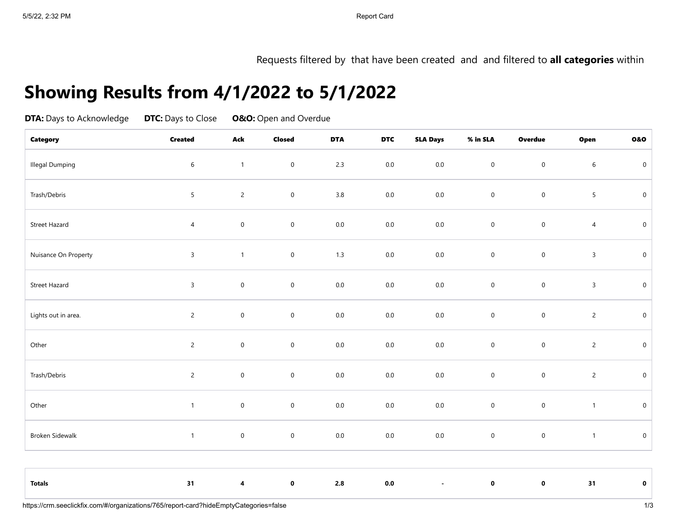Requests filtered by that have been created and and filtered to **all categories** within

## **Showing Results from 4/1/2022 to 5/1/2022**

| <b>DTA:</b> Days to Acknowledge<br><b>Category</b> | <b>DTC:</b> Days to Close<br><b>Created</b> | <b>O&amp;O:</b> Open and Overdue |                     |            |            |                          |                     |                     |                |                     |
|----------------------------------------------------|---------------------------------------------|----------------------------------|---------------------|------------|------------|--------------------------|---------------------|---------------------|----------------|---------------------|
|                                                    |                                             | Ack                              | <b>Closed</b>       | <b>DTA</b> | <b>DTC</b> | <b>SLA Days</b>          | % in SLA            | <b>Overdue</b>      | Open           | 0&0                 |
| <b>Illegal Dumping</b>                             | $\boldsymbol{6}$                            | $\mathbf{1}$                     | $\mathbf 0$         | 2.3        | $0.0\,$    | $0.0\,$                  | $\mathbf 0$         | $\mathbf 0$         | $\sqrt{6}$     | $\mathbf 0$         |
| Trash/Debris                                       | $\overline{5}$                              | $\overline{c}$                   | $\mathsf{O}\xspace$ | 3.8        | $0.0\,$    | $0.0\,$                  | $\mathsf{O}\xspace$ | $\mathbf 0$         | 5              | $\mathbf 0$         |
| Street Hazard                                      | $\overline{4}$                              | $\mathbf 0$                      | $\mathbf 0$         | $0.0\,$    | $0.0\,$    | $0.0\,$                  | $\mathsf 0$         | $\boldsymbol{0}$    | $\overline{4}$ | $\mathbf 0$         |
| Nuisance On Property                               | $\mathbf{3}$                                | $\mathbf{1}$                     | $\mathbf 0$         | 1.3        | $0.0\,$    | $0.0\,$                  | $\mathbf 0$         | $\mathsf{O}\xspace$ | $\overline{3}$ | $\mathbf 0$         |
| Street Hazard                                      | $\mathbf{3}$                                | $\mathbf 0$                      | $\mathsf{O}\xspace$ | $0.0\,$    | $0.0\,$    | $0.0\,$                  | $\mathbf 0$         | $\mathsf{O}\xspace$ | $\overline{3}$ | $\mathsf{O}\xspace$ |
| Lights out in area.                                | $\overline{2}$                              | $\mathbf 0$                      | $\mathsf{O}\xspace$ | $0.0\,$    | $0.0\,$    | $0.0\,$                  | $\mathbf 0$         | $\mathsf{O}\xspace$ | $\overline{c}$ | $\mathbf 0$         |
| Other                                              | $\overline{2}$                              | $\mathbf 0$                      | $\mathbf 0$         | $0.0\,$    | $0.0\,$    | $0.0\,$                  | $\mathbf 0$         | $\mathsf{O}\xspace$ | $\overline{c}$ | $\mathbf 0$         |
| Trash/Debris                                       | $\overline{2}$                              | $\mathbf 0$                      | $\mathbf 0$         | $0.0\,$    | $0.0\,$    | $0.0\,$                  | $\mathbf 0$         | $\mathsf{O}\xspace$ | $\overline{c}$ | $\mathbf 0$         |
| Other                                              | $\mathbf{1}$                                | $\mathbf 0$                      | $\mathbf 0$         | $0.0\,$    | $0.0\,$    | $0.0\,$                  | $\mathbf 0$         | $\pmb{0}$           | $\mathbf{1}$   | $\mathbf 0$         |
| Broken Sidewalk                                    | $\mathbf{1}$                                | $\mathbf 0$                      | $\mathbf 0$         | $0.0\,$    | $0.0\,$    | $0.0\,$                  | $\mathbf 0$         | $\mathbf 0$         | $\mathbf{1}$   | $\mathbf 0$         |
|                                                    |                                             |                                  |                     |            |            |                          |                     |                     |                |                     |
| <b>Totals</b>                                      | 31                                          | $\pmb{4}$                        | $\mathbf 0$         | $2.8\,$    | $0.0\,$    | $\overline{\phantom{a}}$ | $\pmb{0}$           | $\pmb{0}$           | 31             | $\pmb{0}$           |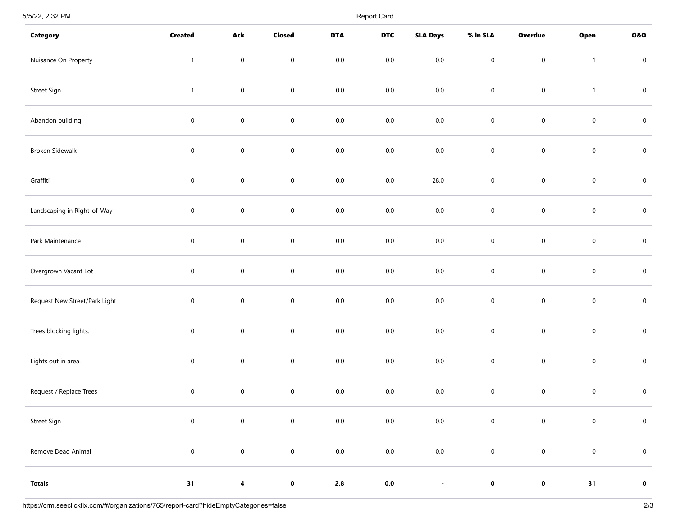5/5/22, 2:32 PM Report Card

| <b>Category</b>               | <b>Created</b>      | Ack                     | Closed              | <b>DTA</b> | <b>DTC</b>     | <b>SLA Days</b> | % in SLA            | <b>Overdue</b>      | Open                | 0&0         |
|-------------------------------|---------------------|-------------------------|---------------------|------------|----------------|-----------------|---------------------|---------------------|---------------------|-------------|
| Nuisance On Property          | $\mathbf{1}$        | $\mathbf 0$             | $\mathbf 0$         | $0.0\,$    | $0.0\,$        | $0.0\,$         | $\mathsf{O}\xspace$ | $\mathsf{O}\xspace$ | $\mathbf{1}$        | $\pmb{0}$   |
| Street Sign                   | $\mathbf{1}$        | $\mathbf 0$             | $\mathbf 0$         | $0.0\,$    | $0.0\,$        | $0.0\,$         | $\mathsf{O}\xspace$ | $\mathsf{O}\xspace$ | $\mathbf{1}$        | $\pmb{0}$   |
| Abandon building              | $\mathbf 0$         | $\mathsf{O}\xspace$     | $\pmb{0}$           | $0.0\,$    | $0.0\,$        | $0.0\,$         | $\mathbf 0$         | $\mathsf{O}\xspace$ | $\mathbf 0$         | $\pmb{0}$   |
| Broken Sidewalk               | $\mathbf 0$         | $\mathbf 0$             | $\mathbf 0$         | $0.0\,$    | $0.0\,$        | $0.0\,$         | $\mathbf 0$         | $\mathsf{O}\xspace$ | $\mathsf{O}\xspace$ | $\pmb{0}$   |
| Graffiti                      | $\mathbf 0$         | $\pmb{0}$               | $\mathbf 0$         | $0.0\,$    | $0.0\,$        | 28.0            | $\mathbf 0$         | $\mathbf 0$         | $\mathbf 0$         | $\pmb{0}$   |
| Landscaping in Right-of-Way   | $\mathbf 0$         | $\mathbf 0$             | $\pmb{0}$           | $0.0\,$    | $0.0\,$        | $0.0\,$         | $\mathbf 0$         | $\mathbf 0$         | $\mathbf 0$         | $\pmb{0}$   |
| Park Maintenance              | $\mathbf 0$         | $\mathsf{O}\xspace$     | $\mathsf{O}\xspace$ | $0.0\,$    | $0.0\,$        | $0.0\,$         | $\mathsf{O}\xspace$ | $\mathsf{O}\xspace$ | $\mathbf 0$         | $\mathbf 0$ |
| Overgrown Vacant Lot          | $\mathbf 0$         | $\mathbf 0$             | $\mathbf 0$         | $0.0\,$    | $0.0\,$        | $0.0\,$         | $\mathbf 0$         | $\mathbf 0$         | $\mathbf 0$         | $\pmb{0}$   |
| Request New Street/Park Light | $\mathbf 0$         | $\mathsf{O}\xspace$     | $\pmb{0}$           | $0.0\,$    | $0.0\,$        | $0.0\,$         | $\mathsf{O}\xspace$ | $\mathsf{O}\xspace$ | $\mathbf 0$         | $\pmb{0}$   |
| Trees blocking lights.        | $\mathbf 0$         | $\mathbf 0$             | $\pmb{0}$           | $0.0\,$    | $0.0\,$        | $0.0\,$         | $\mathbf 0$         | $\mathbf 0$         | $\mathbf 0$         | $\pmb{0}$   |
| Lights out in area.           | $\mathbf 0$         | $\mathbf 0$             | $\pmb{0}$           | $0.0\,$    | $0.0\,$        | $0.0\,$         | $\mathbf 0$         | $\mathbf 0$         | $\mathbf 0$         | $\pmb{0}$   |
| Request / Replace Trees       | $\mathbf 0$         | $\mathbf 0$             | $\pmb{0}$           | $0.0\,$    | $0.0\,$        | $0.0\,$         | $\mathbf 0$         | $\mathbf 0$         | $\mathbf 0$         | $\pmb{0}$   |
| Street Sign                   | $\mathsf{O}\xspace$ | $\mathbf 0$             | $\mathsf{O}$        | $0.0\,$    | $0.0\,$        | $0.0\,$         | $\mathbf 0$         | $\mathsf{O}$        | $\mathbf 0$         | $\mathbf 0$ |
| Remove Dead Animal            | $\mathbf 0$         | $\mathbf 0$             | $\mathbf 0$         | $0.0\,$    | $0.0\,$        | $0.0\,$         | $\mathbf 0$         | $\mathbf 0$         | $\mathbf 0$         | $\pmb{0}$   |
| <b>Totals</b>                 | 31                  | $\overline{\mathbf{4}}$ | $\mathbf 0$         | $\bf 2.8$  | $\mathbf{0.0}$ | $\blacksquare$  | $\mathbf 0$         | $\mathbf 0$         | 31                  | $\mathbf 0$ |